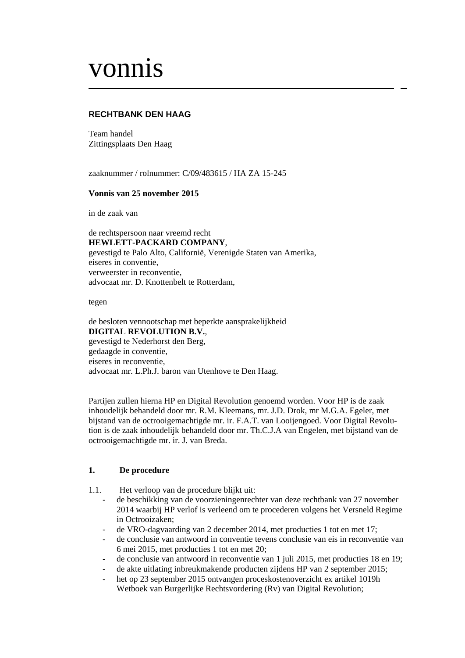# vonnis

# **RECHTBANK DEN HAAG**

Team handel Zittingsplaats Den Haag

zaaknummer / rolnummer: C/09/483615 / HA ZA 15-245

## **Vonnis van 25 november 2015**

in de zaak van

de rechtspersoon naar vreemd recht **HEWLETT-PACKARD COMPANY**, gevestigd te Palo Alto, Californië, Verenigde Staten van Amerika, eiseres in conventie, verweerster in reconventie, advocaat mr. D. Knottenbelt te Rotterdam,

tegen

de besloten vennootschap met beperkte aansprakelijkheid **DIGITAL REVOLUTION B.V.**, gevestigd te Nederhorst den Berg, gedaagde in conventie, eiseres in reconventie, advocaat mr. L.Ph.J. baron van Utenhove te Den Haag.

Partijen zullen hierna HP en Digital Revolution genoemd worden. Voor HP is de zaak inhoudelijk behandeld door mr. R.M. Kleemans, mr. J.D. Drok, mr M.G.A. Egeler, met bijstand van de octrooigemachtigde mr. ir. F.A.T. van Looijengoed. Voor Digital Revolution is de zaak inhoudelijk behandeld door mr. Th.C.J.A van Engelen, met bijstand van de octrooigemachtigde mr. ir. J. van Breda.

## **1. De procedure**

- 1.1. Het verloop van de procedure blijkt uit:
	- de beschikking van de voorzieningenrechter van deze rechtbank van 27 november 2014 waarbij HP verlof is verleend om te procederen volgens het Versneld Regime in Octrooizaken;
	- de VRO-dagvaarding van 2 december 2014, met producties 1 tot en met 17;
	- de conclusie van antwoord in conventie tevens conclusie van eis in reconventie van 6 mei 2015, met producties 1 tot en met 20;
	- de conclusie van antwoord in reconventie van 1 juli 2015, met producties 18 en 19;
	- de akte uitlating inbreukmakende producten zijdens HP van 2 september 2015;
	- het op 23 september 2015 ontvangen proceskostenoverzicht ex artikel 1019h Wetboek van Burgerlijke Rechtsvordering (Rv) van Digital Revolution;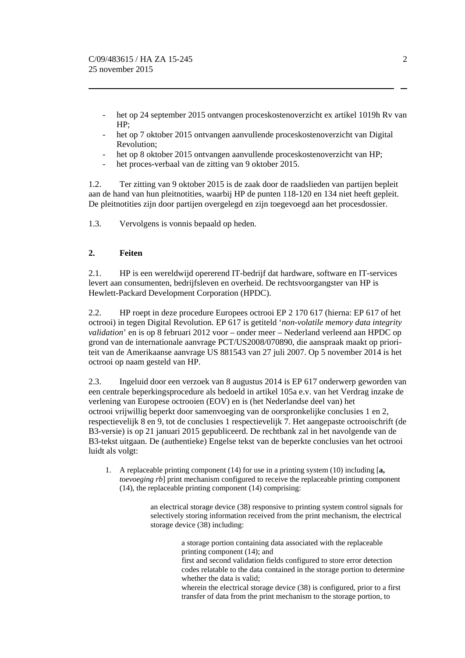- het op 24 september 2015 ontvangen proceskostenoverzicht ex artikel 1019h Rv van HP;
- het op 7 oktober 2015 ontvangen aanvullende proceskostenoverzicht van Digital Revolution;
- het op 8 oktober 2015 ontvangen aanvullende proceskostenoverzicht van HP;
- het proces-verbaal van de zitting van 9 oktober 2015.

1.2. Ter zitting van 9 oktober 2015 is de zaak door de raadslieden van partijen bepleit aan de hand van hun pleitnotities, waarbij HP de punten 118-120 en 134 niet heeft gepleit. De pleitnotities zijn door partijen overgelegd en zijn toegevoegd aan het procesdossier.

1.3. Vervolgens is vonnis bepaald op heden.

# **2. Feiten**

2.1. HP is een wereldwijd opererend IT-bedrijf dat hardware, software en IT-services levert aan consumenten, bedrijfsleven en overheid. De rechtsvoorgangster van HP is Hewlett-Packard Development Corporation (HPDC).

2.2. HP roept in deze procedure Europees octrooi EP 2 170 617 (hierna: EP 617 of het octrooi) in tegen Digital Revolution. EP 617 is getiteld '*non-volatile memory data integrity validation*' en is op 8 februari 2012 voor – onder meer – Nederland verleend aan HPDC op grond van de internationale aanvrage PCT/US2008/070890, die aanspraak maakt op prioriteit van de Amerikaanse aanvrage US 881543 van 27 juli 2007. Op 5 november 2014 is het octrooi op naam gesteld van HP.

2.3. Ingeluid door een verzoek van 8 augustus 2014 is EP 617 onderwerp geworden van een centrale beperkingsprocedure als bedoeld in artikel 105a e.v. van het Verdrag inzake de verlening van Europese octrooien (EOV) en is (het Nederlandse deel van) het octrooi vrijwillig beperkt door samenvoeging van de oorspronkelijke conclusies 1 en 2, respectievelijk 8 en 9, tot de conclusies 1 respectievelijk 7. Het aangepaste octrooischrift (de B3-versie) is op 21 januari 2015 gepubliceerd. De rechtbank zal in het navolgende van de B3-tekst uitgaan. De (authentieke) Engelse tekst van de beperkte conclusies van het octrooi luidt als volgt:

1. A replaceable printing component (14) for use in a printing system (10) including [**a,**  *toevoeging rb*] print mechanism configured to receive the replaceable printing component (14), the replaceable printing component (14) comprising:

> an electrical storage device (38) responsive to printing system control signals for selectively storing information received from the print mechanism, the electrical storage device (38) including:

> > a storage portion containing data associated with the replaceable printing component (14); and first and second validation fields configured to store error detection

codes relatable to the data contained in the storage portion to determine whether the data is valid;

wherein the electrical storage device (38) is configured, prior to a first transfer of data from the print mechanism to the storage portion, to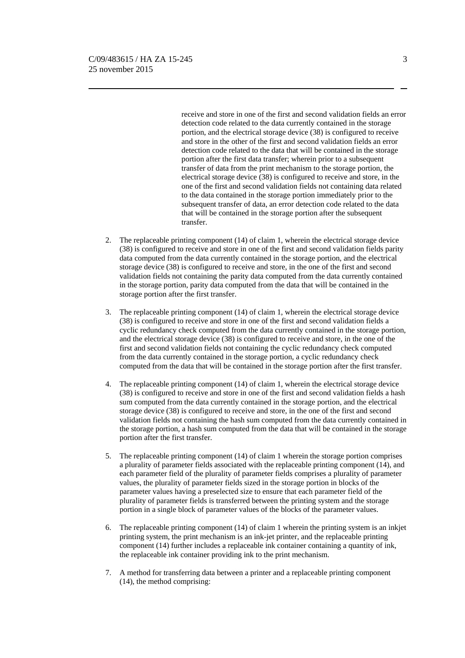receive and store in one of the first and second validation fields an error detection code related to the data currently contained in the storage portion, and the electrical storage device (38) is configured to receive and store in the other of the first and second validation fields an error detection code related to the data that will be contained in the storage portion after the first data transfer; wherein prior to a subsequent transfer of data from the print mechanism to the storage portion, the electrical storage device (38) is configured to receive and store, in the one of the first and second validation fields not containing data related to the data contained in the storage portion immediately prior to the subsequent transfer of data, an error detection code related to the data that will be contained in the storage portion after the subsequent transfer.

- 2. The replaceable printing component (14) of claim 1, wherein the electrical storage device (38) is configured to receive and store in one of the first and second validation fields parity data computed from the data currently contained in the storage portion, and the electrical storage device (38) is configured to receive and store, in the one of the first and second validation fields not containing the parity data computed from the data currently contained in the storage portion, parity data computed from the data that will be contained in the storage portion after the first transfer.
- 3. The replaceable printing component (14) of claim 1, wherein the electrical storage device (38) is configured to receive and store in one of the first and second validation fields a cyclic redundancy check computed from the data currently contained in the storage portion, and the electrical storage device (38) is configured to receive and store, in the one of the first and second validation fields not containing the cyclic redundancy check computed from the data currently contained in the storage portion, a cyclic redundancy check computed from the data that will be contained in the storage portion after the first transfer.
- 4. The replaceable printing component (14) of claim 1, wherein the electrical storage device (38) is configured to receive and store in one of the first and second validation fields a hash sum computed from the data currently contained in the storage portion, and the electrical storage device (38) is configured to receive and store, in the one of the first and second validation fields not containing the hash sum computed from the data currently contained in the storage portion, a hash sum computed from the data that will be contained in the storage portion after the first transfer.
- 5. The replaceable printing component (14) of claim 1 wherein the storage portion comprises a plurality of parameter fields associated with the replaceable printing component (14), and each parameter field of the plurality of parameter fields comprises a plurality of parameter values, the plurality of parameter fields sized in the storage portion in blocks of the parameter values having a preselected size to ensure that each parameter field of the plurality of parameter fields is transferred between the printing system and the storage portion in a single block of parameter values of the blocks of the parameter values.
- 6. The replaceable printing component (14) of claim 1 wherein the printing system is an inkjet printing system, the print mechanism is an ink-jet printer, and the replaceable printing component (14) further includes a replaceable ink container containing a quantity of ink, the replaceable ink container providing ink to the print mechanism.
- 7. A method for transferring data between a printer and a replaceable printing component (14), the method comprising: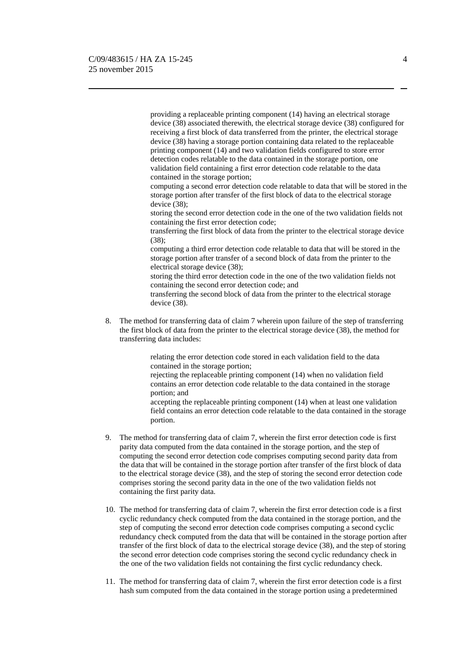providing a replaceable printing component (14) having an electrical storage device (38) associated therewith, the electrical storage device (38) configured for receiving a first block of data transferred from the printer, the electrical storage device (38) having a storage portion containing data related to the replaceable printing component (14) and two validation fields configured to store error detection codes relatable to the data contained in the storage portion, one validation field containing a first error detection code relatable to the data contained in the storage portion;

computing a second error detection code relatable to data that will be stored in the storage portion after transfer of the first block of data to the electrical storage device (38);

storing the second error detection code in the one of the two validation fields not containing the first error detection code;

transferring the first block of data from the printer to the electrical storage device (38);

computing a third error detection code relatable to data that will be stored in the storage portion after transfer of a second block of data from the printer to the electrical storage device (38);

storing the third error detection code in the one of the two validation fields not containing the second error detection code; and

transferring the second block of data from the printer to the electrical storage device (38).

8. The method for transferring data of claim 7 wherein upon failure of the step of transferring the first block of data from the printer to the electrical storage device (38), the method for transferring data includes:

> relating the error detection code stored in each validation field to the data contained in the storage portion;

rejecting the replaceable printing component (14) when no validation field contains an error detection code relatable to the data contained in the storage portion; and

accepting the replaceable printing component (14) when at least one validation field contains an error detection code relatable to the data contained in the storage portion.

- 9. The method for transferring data of claim 7, wherein the first error detection code is first parity data computed from the data contained in the storage portion, and the step of computing the second error detection code comprises computing second parity data from the data that will be contained in the storage portion after transfer of the first block of data to the electrical storage device (38), and the step of storing the second error detection code comprises storing the second parity data in the one of the two validation fields not containing the first parity data.
- 10. The method for transferring data of claim 7, wherein the first error detection code is a first cyclic redundancy check computed from the data contained in the storage portion, and the step of computing the second error detection code comprises computing a second cyclic redundancy check computed from the data that will be contained in the storage portion after transfer of the first block of data to the electrical storage device (38), and the step of storing the second error detection code comprises storing the second cyclic redundancy check in the one of the two validation fields not containing the first cyclic redundancy check.
- 11. The method for transferring data of claim 7, wherein the first error detection code is a first hash sum computed from the data contained in the storage portion using a predetermined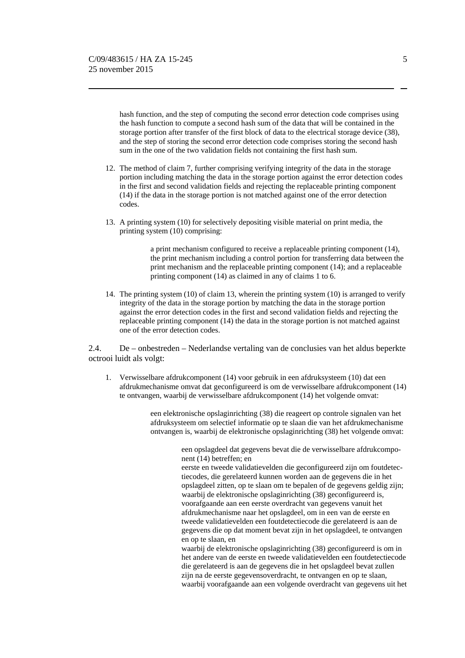hash function, and the step of computing the second error detection code comprises using the hash function to compute a second hash sum of the data that will be contained in the storage portion after transfer of the first block of data to the electrical storage device (38), and the step of storing the second error detection code comprises storing the second hash sum in the one of the two validation fields not containing the first hash sum.

- 12. The method of claim 7, further comprising verifying integrity of the data in the storage portion including matching the data in the storage portion against the error detection codes in the first and second validation fields and rejecting the replaceable printing component (14) if the data in the storage portion is not matched against one of the error detection codes.
- 13. A printing system (10) for selectively depositing visible material on print media, the printing system (10) comprising:

a print mechanism configured to receive a replaceable printing component (14), the print mechanism including a control portion for transferring data between the print mechanism and the replaceable printing component (14); and a replaceable printing component (14) as claimed in any of claims 1 to 6.

14. The printing system (10) of claim 13, wherein the printing system (10) is arranged to verify integrity of the data in the storage portion by matching the data in the storage portion against the error detection codes in the first and second validation fields and rejecting the replaceable printing component (14) the data in the storage portion is not matched against one of the error detection codes.

2.4. De – onbestreden – Nederlandse vertaling van de conclusies van het aldus beperkte octrooi luidt als volgt:

1. Verwisselbare afdrukcomponent (14) voor gebruik in een afdruksysteem (10) dat een afdrukmechanisme omvat dat geconfigureerd is om de verwisselbare afdrukcomponent (14) te ontvangen, waarbij de verwisselbare afdrukcomponent (14) het volgende omvat:

> een elektronische opslaginrichting (38) die reageert op controle signalen van het afdruksysteem om selectief informatie op te slaan die van het afdrukmechanisme ontvangen is, waarbij de elektronische opslaginrichting (38) het volgende omvat:

> > een opslagdeel dat gegevens bevat die de verwisselbare afdrukcomponent (14) betreffen; en

eerste en tweede validatievelden die geconfigureerd zijn om foutdetectiecodes, die gerelateerd kunnen worden aan de gegevens die in het opslagdeel zitten, op te slaan om te bepalen of de gegevens geldig zijn; waarbij de elektronische opslaginrichting (38) geconfigureerd is, voorafgaande aan een eerste overdracht van gegevens vanuit het afdrukmechanisme naar het opslagdeel, om in een van de eerste en tweede validatievelden een foutdetectiecode die gerelateerd is aan de gegevens die op dat moment bevat zijn in het opslagdeel, te ontvangen en op te slaan, en

waarbij de elektronische opslaginrichting (38) geconfigureerd is om in het andere van de eerste en tweede validatievelden een foutdetectiecode die gerelateerd is aan de gegevens die in het opslagdeel bevat zullen zijn na de eerste gegevensoverdracht, te ontvangen en op te slaan, waarbij voorafgaande aan een volgende overdracht van gegevens uit het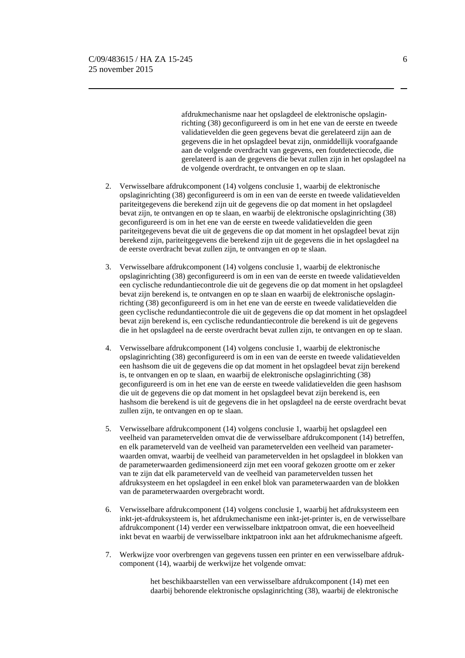afdrukmechanisme naar het opslagdeel de elektronische opslaginrichting (38) geconfigureerd is om in het ene van de eerste en tweede validatievelden die geen gegevens bevat die gerelateerd zijn aan de gegevens die in het opslagdeel bevat zijn, onmiddellijk voorafgaande aan de volgende overdracht van gegevens, een foutdetectiecode, die gerelateerd is aan de gegevens die bevat zullen zijn in het opslagdeel na de volgende overdracht, te ontvangen en op te slaan.

- 2. Verwisselbare afdrukcomponent (14) volgens conclusie 1, waarbij de elektronische opslaginrichting (38) geconfigureerd is om in een van de eerste en tweede validatievelden pariteitgegevens die berekend zijn uit de gegevens die op dat moment in het opslagdeel bevat zijn, te ontvangen en op te slaan, en waarbij de elektronische opslaginrichting (38) geconfigureerd is om in het ene van de eerste en tweede validatievelden die geen pariteitgegevens bevat die uit de gegevens die op dat moment in het opslagdeel bevat zijn berekend zijn, pariteitgegevens die berekend zijn uit de gegevens die in het opslagdeel na de eerste overdracht bevat zullen zijn, te ontvangen en op te slaan.
- 3. Verwisselbare afdrukcomponent (14) volgens conclusie 1, waarbij de elektronische opslaginrichting (38) geconfigureerd is om in een van de eerste en tweede validatievelden een cyclische redundantiecontrole die uit de gegevens die op dat moment in het opslagdeel bevat zijn berekend is, te ontvangen en op te slaan en waarbij de elektronische opslaginrichting (38) geconfigureerd is om in het ene van de eerste en tweede validatievelden die geen cyclische redundantiecontrole die uit de gegevens die op dat moment in het opslagdeel bevat zijn berekend is, een cyclische redundantiecontrole die berekend is uit de gegevens die in het opslagdeel na de eerste overdracht bevat zullen zijn, te ontvangen en op te slaan.
- 4. Verwisselbare afdrukcomponent (14) volgens conclusie 1, waarbij de elektronische opslaginrichting (38) geconfigureerd is om in een van de eerste en tweede validatievelden een hashsom die uit de gegevens die op dat moment in het opslagdeel bevat zijn berekend is, te ontvangen en op te slaan, en waarbij de elektronische opslaginrichting (38) geconfigureerd is om in het ene van de eerste en tweede validatievelden die geen hashsom die uit de gegevens die op dat moment in het opslagdeel bevat zijn berekend is, een hashsom die berekend is uit de gegevens die in het opslagdeel na de eerste overdracht bevat zullen zijn, te ontvangen en op te slaan.
- 5. Verwisselbare afdrukcomponent (14) volgens conclusie 1, waarbij het opslagdeel een veelheid van parametervelden omvat die de verwisselbare afdrukcomponent (14) betreffen, en elk parameterveld van de veelheid van parametervelden een veelheid van parameterwaarden omvat, waarbij de veelheid van parametervelden in het opslagdeel in blokken van de parameterwaarden gedimensioneerd zijn met een vooraf gekozen grootte om er zeker van te zijn dat elk parameterveld van de veelheid van parametervelden tussen het afdruksysteem en het opslagdeel in een enkel blok van parameterwaarden van de blokken van de parameterwaarden overgebracht wordt.
- 6. Verwisselbare afdrukcomponent (14) volgens conclusie 1, waarbij het afdruksysteem een inkt-jet-afdruksysteem is, het afdrukmechanisme een inkt-jet-printer is, en de verwisselbare afdrukcomponent (14) verder een verwisselbare inktpatroon omvat, die een hoeveelheid inkt bevat en waarbij de verwisselbare inktpatroon inkt aan het afdrukmechanisme afgeeft.
- 7. Werkwijze voor overbrengen van gegevens tussen een printer en een verwisselbare afdrukcomponent (14), waarbij de werkwijze het volgende omvat:

het beschikbaarstellen van een verwisselbare afdrukcomponent (14) met een daarbij behorende elektronische opslaginrichting (38), waarbij de elektronische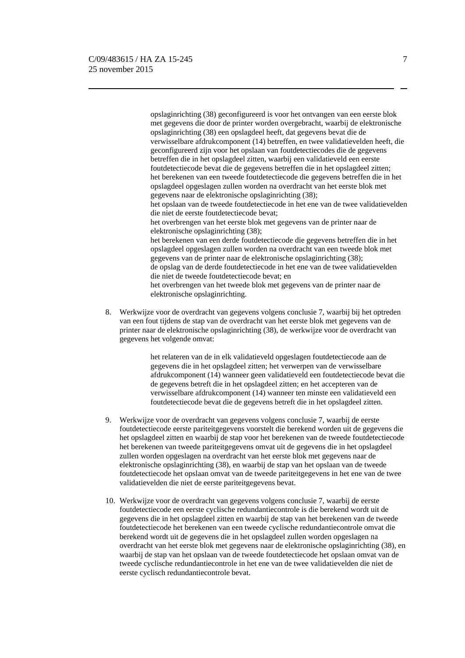opslaginrichting (38) geconfigureerd is voor het ontvangen van een eerste blok met gegevens die door de printer worden overgebracht, waarbij de elektronische opslaginrichting (38) een opslagdeel heeft, dat gegevens bevat die de verwisselbare afdrukcomponent (14) betreffen, en twee validatievelden heeft, die geconfigureerd zijn voor het opslaan van foutdetectiecodes die de gegevens betreffen die in het opslagdeel zitten, waarbij een validatieveld een eerste foutdetectiecode bevat die de gegevens betreffen die in het opslagdeel zitten; het berekenen van een tweede foutdetectiecode die gegevens betreffen die in het opslagdeel opgeslagen zullen worden na overdracht van het eerste blok met gegevens naar de elektronische opslaginrichting (38); het opslaan van de tweede foutdetectiecode in het ene van de twee validatievelden die niet de eerste foutdetectiecode bevat; het overbrengen van het eerste blok met gegevens van de printer naar de elektronische opslaginrichting (38); het berekenen van een derde foutdetectiecode die gegevens betreffen die in het opslagdeel opgeslagen zullen worden na overdracht van een tweede blok met gegevens van de printer naar de elektronische opslaginrichting (38); de opslag van de derde foutdetectiecode in het ene van de twee validatievelden die niet de tweede foutdetectiecode bevat; en het overbrengen van het tweede blok met gegevens van de printer naar de elektronische opslaginrichting.

8. Werkwijze voor de overdracht van gegevens volgens conclusie 7, waarbij bij het optreden van een fout tijdens de stap van de overdracht van het eerste blok met gegevens van de printer naar de elektronische opslaginrichting (38), de werkwijze voor de overdracht van gegevens het volgende omvat:

> het relateren van de in elk validatieveld opgeslagen foutdetectiecode aan de gegevens die in het opslagdeel zitten; het verwerpen van de verwisselbare afdrukcomponent (14) wanneer geen validatieveld een foutdetectiecode bevat die de gegevens betreft die in het opslagdeel zitten; en het accepteren van de verwisselbare afdrukcomponent (14) wanneer ten minste een validatieveld een foutdetectiecode bevat die de gegevens betreft die in het opslagdeel zitten.

- 9. Werkwijze voor de overdracht van gegevens volgens conclusie 7, waarbij de eerste foutdetectiecode eerste pariteitgegevens voorstelt die berekend worden uit de gegevens die het opslagdeel zitten en waarbij de stap voor het berekenen van de tweede foutdetectiecode het berekenen van tweede pariteitgegevens omvat uit de gegevens die in het opslagdeel zullen worden opgeslagen na overdracht van het eerste blok met gegevens naar de elektronische opslaginrichting (38), en waarbij de stap van het opslaan van de tweede foutdetectiecode het opslaan omvat van de tweede pariteitgegevens in het ene van de twee validatievelden die niet de eerste pariteitgegevens bevat.
- 10. Werkwijze voor de overdracht van gegevens volgens conclusie 7, waarbij de eerste foutdetectiecode een eerste cyclische redundantiecontrole is die berekend wordt uit de gegevens die in het opslagdeel zitten en waarbij de stap van het berekenen van de tweede foutdetectiecode het berekenen van een tweede cyclische redundantiecontrole omvat die berekend wordt uit de gegevens die in het opslagdeel zullen worden opgeslagen na overdracht van het eerste blok met gegevens naar de elektronische opslaginrichting (38), en waarbij de stap van het opslaan van de tweede foutdetectiecode het opslaan omvat van de tweede cyclische redundantiecontrole in het ene van de twee validatievelden die niet de eerste cyclisch redundantiecontrole bevat.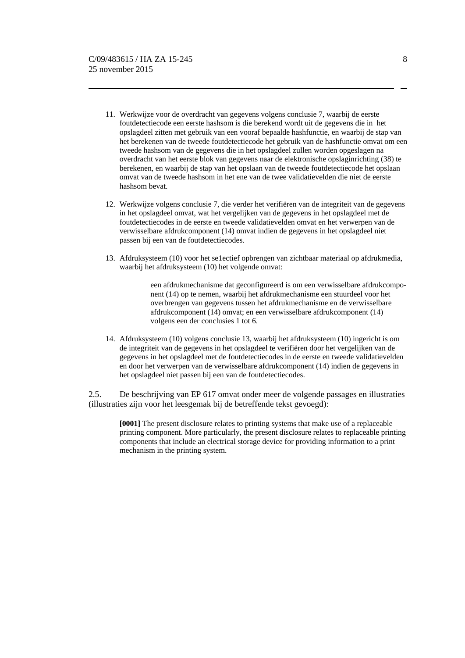- 11. Werkwijze voor de overdracht van gegevens volgens conclusie 7, waarbij de eerste foutdetectiecode een eerste hashsom is die berekend wordt uit de gegevens die in het opslagdeel zitten met gebruik van een vooraf bepaalde hashfunctie, en waarbij de stap van het berekenen van de tweede foutdetectiecode het gebruik van de hashfunctie omvat om een tweede hashsom van de gegevens die in het opslagdeel zullen worden opgeslagen na overdracht van het eerste blok van gegevens naar de elektronische opslaginrichting (38) te berekenen, en waarbij de stap van het opslaan van de tweede foutdetectiecode het opslaan omvat van de tweede hashsom in het ene van de twee validatievelden die niet de eerste hashsom bevat.
- 12. Werkwijze volgens conclusie 7, die verder het verifiëren van de integriteit van de gegevens in het opslagdeel omvat, wat het vergelijken van de gegevens in het opslagdeel met de foutdetectiecodes in de eerste en tweede validatievelden omvat en het verwerpen van de verwisselbare afdrukcomponent (14) omvat indien de gegevens in het opslagdeel niet passen bij een van de foutdetectiecodes.
- 13. Afdruksysteem (10) voor het se1ectief opbrengen van zichtbaar materiaal op afdrukmedia, waarbij het afdruksysteem (10) het volgende omvat:

een afdrukmechanisme dat geconfigureerd is om een verwisselbare afdrukcomponent (14) op te nemen, waarbij het afdrukmechanisme een stuurdeel voor het overbrengen van gegevens tussen het afdrukmechanisme en de verwisselbare afdrukcomponent (14) omvat; en een verwisselbare afdrukcomponent (14) volgens een der conclusies 1 tot 6.

14. Afdruksysteem (10) volgens conclusie 13, waarbij het afdruksysteem (10) ingericht is om de integriteit van de gegevens in het opslagdeel te verifiëren door het vergelijken van de gegevens in het opslagdeel met de foutdetectiecodes in de eerste en tweede validatievelden en door het verwerpen van de verwisselbare afdrukcomponent (14) indien de gegevens in het opslagdeel niet passen bij een van de foutdetectiecodes.

2.5. De beschrijving van EP 617 omvat onder meer de volgende passages en illustraties (illustraties zijn voor het leesgemak bij de betreffende tekst gevoegd):

**[0001]** The present disclosure relates to printing systems that make use of a replaceable printing component. More particularly, the present disclosure relates to replaceable printing components that include an electrical storage device for providing information to a print mechanism in the printing system.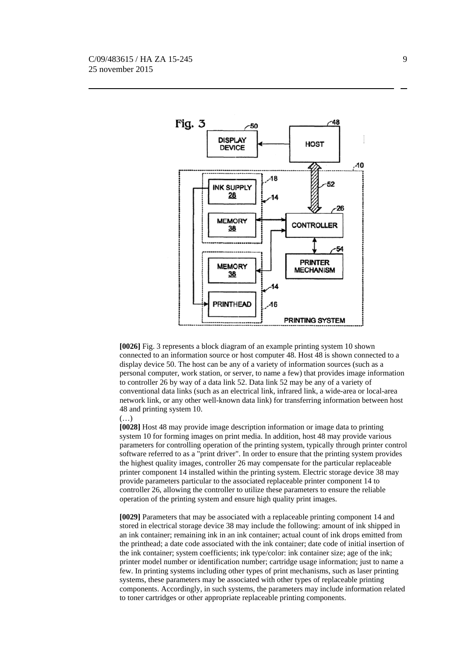

**[0026]** Fig. 3 represents a block diagram of an example printing system 10 shown connected to an information source or host computer 48. Host 48 is shown connected to a display device 50. The host can be any of a variety of information sources (such as a personal computer, work station, or server, to name a few) that provides image information to controller 26 by way of a data link 52. Data link 52 may be any of a variety of conventional data links (such as an electrical link, infrared link, a wide-area or local-area network link, or any other well-known data link) for transferring information between host 48 and printing system 10.

(…)

**[0028]** Host 48 may provide image description information or image data to printing system 10 for forming images on print media. In addition, host 48 may provide various parameters for controlling operation of the printing system, typically through printer control software referred to as a "print driver". In order to ensure that the printing system provides the highest quality images, controller 26 may compensate for the particular replaceable printer component 14 installed within the printing system. Electric storage device 38 may provide parameters particular to the associated replaceable printer component 14 to controller 26, allowing the controller to utilize these parameters to ensure the reliable operation of the printing system and ensure high quality print images.

**[0029]** Parameters that may be associated with a replaceable printing component 14 and stored in electrical storage device 38 may include the following: amount of ink shipped in an ink container; remaining ink in an ink container; actual count of ink drops emitted from the printhead; a date code associated with the ink container; date code of initial insertion of the ink container; system coefficients; ink type/color: ink container size; age of the ink; printer model number or identification number; cartridge usage information; just to name a few. In printing systems including other types of print mechanisms, such as laser printing systems, these parameters may be associated with other types of replaceable printing components. Accordingly, in such systems, the parameters may include information related to toner cartridges or other appropriate replaceable printing components.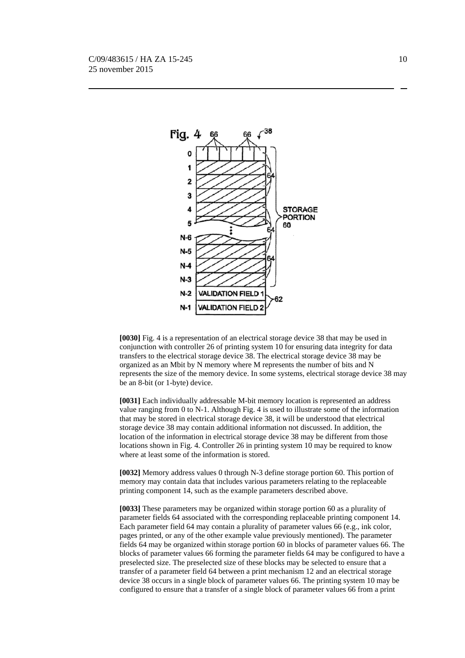

**[0030]** Fig. 4 is a representation of an electrical storage device 38 that may be used in conjunction with controller 26 of printing system 10 for ensuring data integrity for data transfers to the electrical storage device 38. The electrical storage device 38 may be organized as an Mbit by N memory where M represents the number of bits and N represents the size of the memory device. In some systems, electrical storage device 38 may be an 8-bit (or 1-byte) device.

**[0031]** Each individually addressable M-bit memory location is represented an address value ranging from 0 to N-1. Although Fig. 4 is used to illustrate some of the information that may be stored in electrical storage device 38, it will be understood that electrical storage device 38 may contain additional information not discussed. In addition, the location of the information in electrical storage device 38 may be different from those locations shown in Fig. 4. Controller 26 in printing system 10 may be required to know where at least some of the information is stored.

**[0032]** Memory address values 0 through N-3 define storage portion 60. This portion of memory may contain data that includes various parameters relating to the replaceable printing component 14, such as the example parameters described above.

**[0033]** These parameters may be organized within storage portion 60 as a plurality of parameter fields 64 associated with the corresponding replaceable printing component 14. Each parameter field 64 may contain a plurality of parameter values 66 (e.g., ink color, pages printed, or any of the other example value previously mentioned). The parameter fields 64 may be organized within storage portion 60 in blocks of parameter values 66. The blocks of parameter values 66 forming the parameter fields 64 may be configured to have a preselected size. The preselected size of these blocks may be selected to ensure that a transfer of a parameter field 64 between a print mechanism 12 and an electrical storage device 38 occurs in a single block of parameter values 66. The printing system 10 may be configured to ensure that a transfer of a single block of parameter values 66 from a print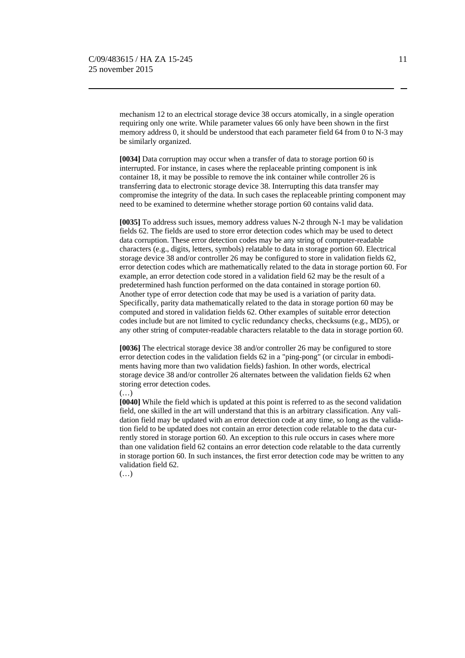mechanism 12 to an electrical storage device 38 occurs atomically, in a single operation requiring only one write. While parameter values 66 only have been shown in the first memory address 0, it should be understood that each parameter field 64 from 0 to N-3 may be similarly organized.

**[0034]** Data corruption may occur when a transfer of data to storage portion 60 is interrupted. For instance, in cases where the replaceable printing component is ink container 18, it may be possible to remove the ink container while controller 26 is transferring data to electronic storage device 38. Interrupting this data transfer may compromise the integrity of the data. In such cases the replaceable printing component may need to be examined to determine whether storage portion 60 contains valid data.

**[0035]** To address such issues, memory address values N-2 through N-1 may be validation fields 62. The fields are used to store error detection codes which may be used to detect data corruption. These error detection codes may be any string of computer-readable characters (e.g., digits, letters, symbols) relatable to data in storage portion 60. Electrical storage device 38 and/or controller 26 may be configured to store in validation fields 62, error detection codes which are mathematically related to the data in storage portion 60. For example, an error detection code stored in a validation field 62 may be the result of a predetermined hash function performed on the data contained in storage portion 60. Another type of error detection code that may be used is a variation of parity data. Specifically, parity data mathematically related to the data in storage portion 60 may be computed and stored in validation fields 62. Other examples of suitable error detection codes include but are not limited to cyclic redundancy checks, checksums (e.g., MD5), or any other string of computer-readable characters relatable to the data in storage portion 60.

**[0036]** The electrical storage device 38 and/or controller 26 may be configured to store error detection codes in the validation fields 62 in a "ping-pong" (or circular in embodiments having more than two validation fields) fashion. In other words, electrical storage device 38 and/or controller 26 alternates between the validation fields 62 when storing error detection codes.

(…)

**[0040]** While the field which is updated at this point is referred to as the second validation field, one skilled in the art will understand that this is an arbitrary classification. Any validation field may be updated with an error detection code at any time, so long as the validation field to be updated does not contain an error detection code relatable to the data currently stored in storage portion 60. An exception to this rule occurs in cases where more than one validation field 62 contains an error detection code relatable to the data currently in storage portion 60. In such instances, the first error detection code may be written to any validation field 62.

(…)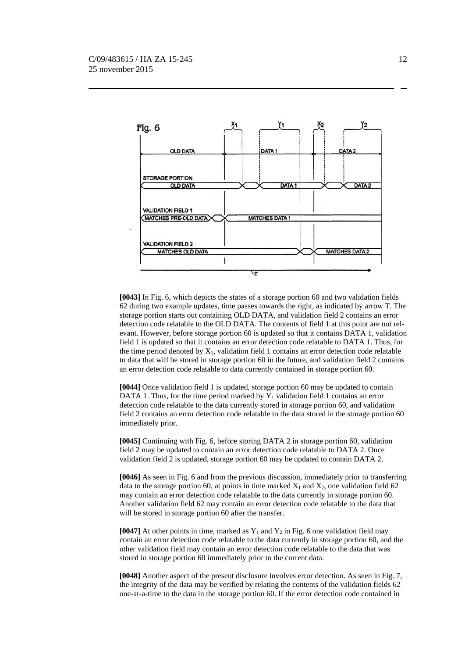

**[0043]** In Fig. 6, which depicts the states of a storage portion 60 and two validation fields 62 during two example updates, time passes towards the right, as indicated by arrow T. The storage portion starts out containing OLD DATA, and validation field 2 contains an error detection code relatable to the OLD DATA. The contents of field 1 at this point are not relevant. However, before storage portion 60 is updated so that it contains DATA 1, validation field 1 is updated so that it contains an error detection code relatable to DATA 1. Thus, for the time period denoted by  $X_1$ , validation field 1 contains an error detection code relatable to data that will be stored in storage portion 60 in the future, and validation field 2 contains an error detection code relatable to data currently contained in storage portion 60.

**[0044]** Once validation field 1 is updated, storage portion 60 may be updated to contain DATA 1. Thus, for the time period marked by  $Y_1$  validation field 1 contains an error detection code relatable to the data currently stored in storage portion 60, and validation field 2 contains an error detection code relatable to the data stored in the storage portion 60 immediately prior.

**[0045]** Continuing with Fig. 6, before storing DATA 2 in storage portion 60, validation field 2 may be updated to contain an error detection code relatable to DATA 2. Once validation field 2 is updated, storage portion 60 may be updated to contain DATA 2.

**[0046]** As seen in Fig. 6 and from the previous discussion, immediately prior to transferring data to the storage portion 60, at points in time marked  $X_1$  and  $X_2$ , one validation field 62 may contain an error detection code relatable to the data currently in storage portion 60. Another validation field 62 may contain an error detection code relatable to the data that will be stored in storage portion 60 after the transfer.

**[0047]** At other points in time, marked as  $Y_1$  and  $Y_2$  in Fig. 6 one validation field may contain an error detection code relatable to the data currently in storage portion 60, and the other validation field may contain an error detection code relatable to the data that was stored in storage portion 60 immediately prior to the current data.

**[0048]** Another aspect of the present disclosure involves error detection. As seen in Fig. 7, the integrity of the data may be verified by relating the contents of the validation fields 62 one-at-a-time to the data in the storage portion 60. If the error detection code contained in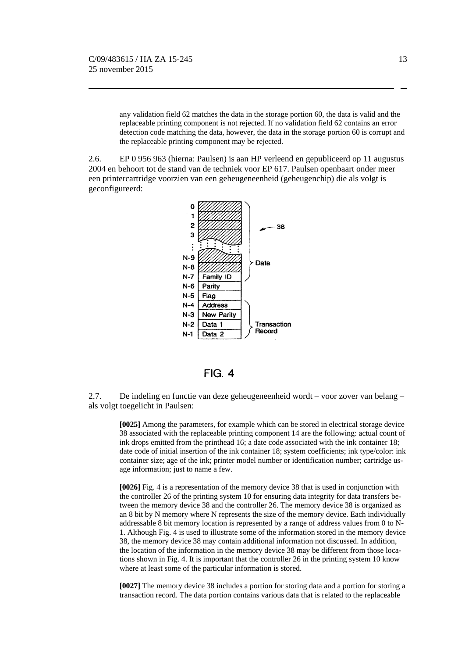any validation field 62 matches the data in the storage portion 60, the data is valid and the replaceable printing component is not rejected. If no validation field 62 contains an error detection code matching the data, however, the data in the storage portion 60 is corrupt and the replaceable printing component may be rejected.

2.6. EP 0 956 963 (hierna: Paulsen) is aan HP verleend en gepubliceerd op 11 augustus 2004 en behoort tot de stand van de techniek voor EP 617. Paulsen openbaart onder meer een printercartridge voorzien van een geheugeneenheid (geheugenchip) die als volgt is geconfigureerd:



 $FIG. 4$ 

2.7.De indeling en functie van deze geheugeneenheid wordt – voor zover van belang – als volgt toegelicht in Paulsen:

**[0025]** Among the parameters, for example which can be stored in electrical storage device 38 associated with the replaceable printing component 14 are the following: actual count of ink drops emitted from the printhead 16; a date code associated with the ink container 18; date code of initial insertion of the ink container 18; system coefficients; ink type/color: ink container size; age of the ink; printer model number or identification number; cartridge usage information; just to name a few.

**[0026]** Fig. 4 is a representation of the memory device 38 that is used in conjunction with the controller 26 of the printing system 10 for ensuring data integrity for data transfers between the memory device 38 and the controller 26. The memory device 38 is organized as an 8 bit by N memory where N represents the size of the memory device. Each individually addressable 8 bit memory location is represented by a range of address values from 0 to N-1. Although Fig. 4 is used to illustrate some of the information stored in the memory device 38, the memory device 38 may contain additional information not discussed. In addition, the location of the information in the memory device 38 may be different from those locations shown in Fig. 4. It is important that the controller 26 in the printing system 10 know where at least some of the particular information is stored.

**[0027]** The memory device 38 includes a portion for storing data and a portion for storing a transaction record. The data portion contains various data that is related to the replaceable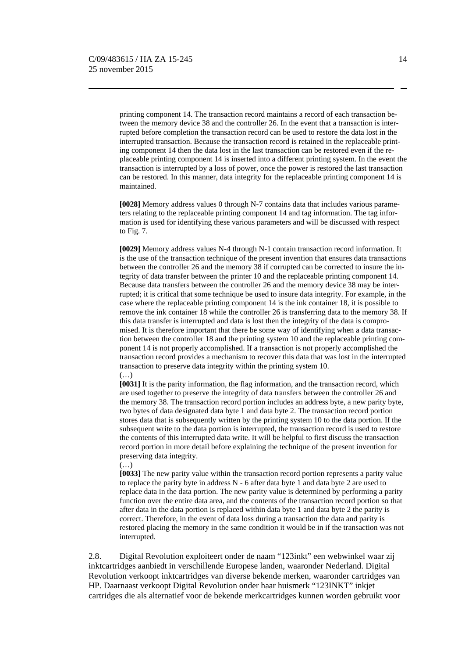printing component 14. The transaction record maintains a record of each transaction between the memory device 38 and the controller 26. In the event that a transaction is interrupted before completion the transaction record can be used to restore the data lost in the interrupted transaction. Because the transaction record is retained in the replaceable printing component 14 then the data lost in the last transaction can be restored even if the replaceable printing component 14 is inserted into a different printing system. In the event the transaction is interrupted by a loss of power, once the power is restored the last transaction can be restored. In this manner, data integrity for the replaceable printing component 14 is maintained.

**[0028]** Memory address values 0 through N-7 contains data that includes various parameters relating to the replaceable printing component 14 and tag information. The tag information is used for identifying these various parameters and will be discussed with respect to Fig. 7.

**[0029]** Memory address values N-4 through N-1 contain transaction record information. It is the use of the transaction technique of the present invention that ensures data transactions between the controller 26 and the memory 38 if corrupted can be corrected to insure the integrity of data transfer between the printer 10 and the replaceable printing component 14. Because data transfers between the controller 26 and the memory device 38 may be interrupted; it is critical that some technique be used to insure data integrity. For example, in the case where the replaceable printing component 14 is the ink container 18, it is possible to remove the ink container 18 while the controller 26 is transferring data to the memory 38. If this data transfer is interrupted and data is lost then the integrity of the data is compromised. It is therefore important that there be some way of identifying when a data transaction between the controller 18 and the printing system 10 and the replaceable printing component 14 is not properly accomplished. If a transaction is not properly accomplished the transaction record provides a mechanism to recover this data that was lost in the interrupted transaction to preserve data integrity within the printing system 10. (…)

**[0031]** It is the parity information, the flag information, and the transaction record, which are used together to preserve the integrity of data transfers between the controller 26 and the memory 38. The transaction record portion includes an address byte, a new parity byte, two bytes of data designated data byte 1 and data byte 2. The transaction record portion stores data that is subsequently written by the printing system 10 to the data portion. If the subsequent write to the data portion is interrupted, the transaction record is used to restore the contents of this interrupted data write. It will be helpful to first discuss the transaction record portion in more detail before explaining the technique of the present invention for preserving data integrity.

#### $(\ldots)$

**[0033]** The new parity value within the transaction record portion represents a parity value to replace the parity byte in address  $N - 6$  after data byte 1 and data byte 2 are used to replace data in the data portion. The new parity value is determined by performing a parity function over the entire data area, and the contents of the transaction record portion so that after data in the data portion is replaced within data byte 1 and data byte 2 the parity is correct. Therefore, in the event of data loss during a transaction the data and parity is restored placing the memory in the same condition it would be in if the transaction was not interrupted.

2.8. Digital Revolution exploiteert onder de naam "123inkt" een webwinkel waar zij inktcartridges aanbiedt in verschillende Europese landen, waaronder Nederland. Digital Revolution verkoopt inktcartridges van diverse bekende merken, waaronder cartridges van HP. Daarnaast verkoopt Digital Revolution onder haar huismerk "123INKT" inkjet cartridges die als alternatief voor de bekende merkcartridges kunnen worden gebruikt voor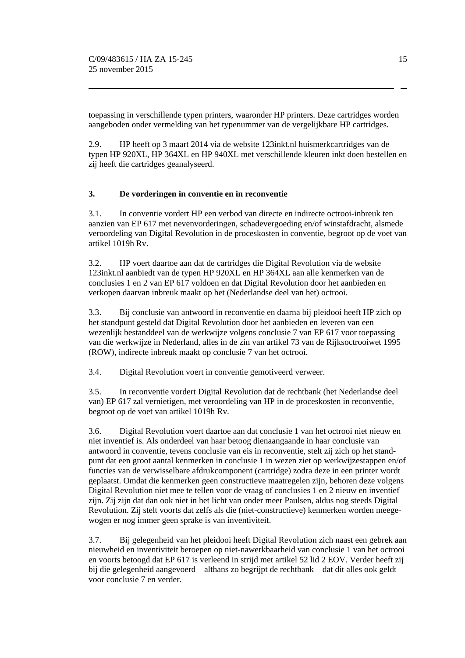toepassing in verschillende typen printers, waaronder HP printers. Deze cartridges worden aangeboden onder vermelding van het typenummer van de vergelijkbare HP cartridges.

2.9. HP heeft op 3 maart 2014 via de website 123inkt.nl huismerkcartridges van de typen HP 920XL, HP 364XL en HP 940XL met verschillende kleuren inkt doen bestellen en zij heeft die cartridges geanalyseerd.

# **3. De vorderingen in conventie en in reconventie**

3.1. In conventie vordert HP een verbod van directe en indirecte octrooi-inbreuk ten aanzien van EP 617 met nevenvorderingen, schadevergoeding en/of winstafdracht, alsmede veroordeling van Digital Revolution in de proceskosten in conventie, begroot op de voet van artikel 1019h Rv.

3.2. HP voert daartoe aan dat de cartridges die Digital Revolution via de website 123inkt.nl aanbiedt van de typen HP 920XL en HP 364XL aan alle kenmerken van de conclusies 1 en 2 van EP 617 voldoen en dat Digital Revolution door het aanbieden en verkopen daarvan inbreuk maakt op het (Nederlandse deel van het) octrooi.

3.3. Bij conclusie van antwoord in reconventie en daarna bij pleidooi heeft HP zich op het standpunt gesteld dat Digital Revolution door het aanbieden en leveren van een wezenlijk bestanddeel van de werkwijze volgens conclusie 7 van EP 617 voor toepassing van die werkwijze in Nederland, alles in de zin van artikel 73 van de Rijksoctrooiwet 1995 (ROW), indirecte inbreuk maakt op conclusie 7 van het octrooi.

3.4. Digital Revolution voert in conventie gemotiveerd verweer.

3.5. In reconventie vordert Digital Revolution dat de rechtbank (het Nederlandse deel van) EP 617 zal vernietigen, met veroordeling van HP in de proceskosten in reconventie, begroot op de voet van artikel 1019h Rv.

3.6. Digital Revolution voert daartoe aan dat conclusie 1 van het octrooi niet nieuw en niet inventief is. Als onderdeel van haar betoog dienaangaande in haar conclusie van antwoord in conventie, tevens conclusie van eis in reconventie, stelt zij zich op het standpunt dat een groot aantal kenmerken in conclusie 1 in wezen ziet op werkwijzestappen en/of functies van de verwisselbare afdrukcomponent (cartridge) zodra deze in een printer wordt geplaatst. Omdat die kenmerken geen constructieve maatregelen zijn, behoren deze volgens Digital Revolution niet mee te tellen voor de vraag of conclusies 1 en 2 nieuw en inventief zijn. Zij zijn dat dan ook niet in het licht van onder meer Paulsen, aldus nog steeds Digital Revolution. Zij stelt voorts dat zelfs als die (niet-constructieve) kenmerken worden meegewogen er nog immer geen sprake is van inventiviteit.

3.7. Bij gelegenheid van het pleidooi heeft Digital Revolution zich naast een gebrek aan nieuwheid en inventiviteit beroepen op niet-nawerkbaarheid van conclusie 1 van het octrooi en voorts betoogd dat EP 617 is verleend in strijd met artikel 52 lid 2 EOV. Verder heeft zij bij die gelegenheid aangevoerd – althans zo begrijpt de rechtbank – dat dit alles ook geldt voor conclusie 7 en verder.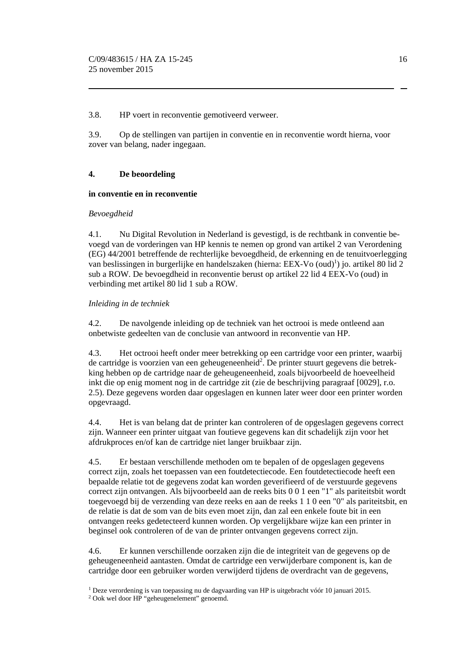#### 3.8. HP voert in reconventie gemotiveerd verweer.

3.9. Op de stellingen van partijen in conventie en in reconventie wordt hierna, voor zover van belang, nader ingegaan.

## **4. De beoordeling**

## **in conventie en in reconventie**

#### *Bevoegdheid*

4.1. Nu Digital Revolution in Nederland is gevestigd, is de rechtbank in conventie bevoegd van de vorderingen van HP kennis te nemen op grond van artikel 2 van Verordening (EG) 44/2001 betreffende de rechterlijke bevoegdheid, de erkenning en de tenuitvoerlegging van beslissingen in burgerlijke en handelszaken (hierna: EEX-Vo  $(oud)^1$ ) jo. artikel 80 lid 2 sub a ROW. De bevoegdheid in reconventie berust op artikel 22 lid 4 EEX-Vo (oud) in verbinding met artikel 80 lid 1 sub a ROW.

## *Inleiding in de techniek*

4.2. De navolgende inleiding op de techniek van het octrooi is mede ontleend aan onbetwiste gedeelten van de conclusie van antwoord in reconventie van HP.

4.3. Het octrooi heeft onder meer betrekking op een cartridge voor een printer, waarbij de cartridge is voorzien van een geheugeneenheid<sup>2</sup>. De printer stuurt gegevens die betrekking hebben op de cartridge naar de geheugeneenheid, zoals bijvoorbeeld de hoeveelheid inkt die op enig moment nog in de cartridge zit (zie de beschrijving paragraaf [0029], r.o. 2.5). Deze gegevens worden daar opgeslagen en kunnen later weer door een printer worden opgevraagd.

4.4. Het is van belang dat de printer kan controleren of de opgeslagen gegevens correct zijn. Wanneer een printer uitgaat van foutieve gegevens kan dit schadelijk zijn voor het afdrukproces en/of kan de cartridge niet langer bruikbaar zijn.

4.5. Er bestaan verschillende methoden om te bepalen of de opgeslagen gegevens correct zijn, zoals het toepassen van een foutdetectiecode. Een foutdetectiecode heeft een bepaalde relatie tot de gegevens zodat kan worden geverifieerd of de verstuurde gegevens correct zijn ontvangen. Als bijvoorbeeld aan de reeks bits 0 0 1 een "1" als pariteitsbit wordt toegevoegd bij de verzending van deze reeks en aan de reeks 1 1 0 een "0" als pariteitsbit, en de relatie is dat de som van de bits even moet zijn, dan zal een enkele foute bit in een ontvangen reeks gedetecteerd kunnen worden. Op vergelijkbare wijze kan een printer in beginsel ook controleren of de van de printer ontvangen gegevens correct zijn.

4.6. Er kunnen verschillende oorzaken zijn die de integriteit van de gegevens op de geheugeneenheid aantasten. Omdat de cartridge een verwijderbare component is, kan de cartridge door een gebruiker worden verwijderd tijdens de overdracht van de gegevens,

<sup>&</sup>lt;sup>1</sup> Deze verordening is van toepassing nu de dagvaarding van HP is uitgebracht vóór 10 januari 2015.<br><sup>2</sup> Ook wel door HP "geheugenelement" genoemd.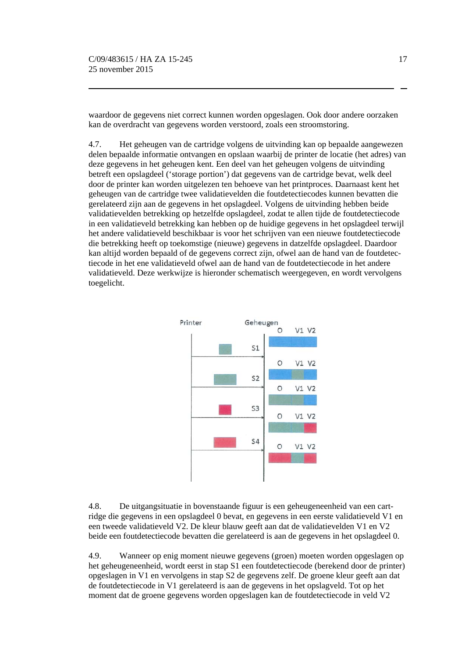waardoor de gegevens niet correct kunnen worden opgeslagen. Ook door andere oorzaken kan de overdracht van gegevens worden verstoord, zoals een stroomstoring.

4.7. Het geheugen van de cartridge volgens de uitvinding kan op bepaalde aangewezen delen bepaalde informatie ontvangen en opslaan waarbij de printer de locatie (het adres) van deze gegevens in het geheugen kent. Een deel van het geheugen volgens de uitvinding betreft een opslagdeel ('storage portion') dat gegevens van de cartridge bevat, welk deel door de printer kan worden uitgelezen ten behoeve van het printproces. Daarnaast kent het geheugen van de cartridge twee validatievelden die foutdetectiecodes kunnen bevatten die gerelateerd zijn aan de gegevens in het opslagdeel. Volgens de uitvinding hebben beide validatievelden betrekking op hetzelfde opslagdeel, zodat te allen tijde de foutdetectiecode in een validatieveld betrekking kan hebben op de huidige gegevens in het opslagdeel terwijl het andere validatieveld beschikbaar is voor het schrijven van een nieuwe foutdetectiecode die betrekking heeft op toekomstige (nieuwe) gegevens in datzelfde opslagdeel. Daardoor kan altijd worden bepaald of de gegevens correct zijn, ofwel aan de hand van de foutdetectiecode in het ene validatieveld ofwel aan de hand van de foutdetectiecode in het andere validatieveld. Deze werkwijze is hieronder schematisch weergegeven, en wordt vervolgens toegelicht.



4.8. De uitgangsituatie in bovenstaande figuur is een geheugeneenheid van een cartridge die gegevens in een opslagdeel 0 bevat, en gegevens in een eerste validatieveld V1 en een tweede validatieveld V2. De kleur blauw geeft aan dat de validatievelden V1 en V2 beide een foutdetectiecode bevatten die gerelateerd is aan de gegevens in het opslagdeel 0.

4.9. Wanneer op enig moment nieuwe gegevens (groen) moeten worden opgeslagen op het geheugeneenheid, wordt eerst in stap S1 een foutdetectiecode (berekend door de printer) opgeslagen in V1 en vervolgens in stap S2 de gegevens zelf. De groene kleur geeft aan dat de foutdetectiecode in V1 gerelateerd is aan de gegevens in het opslagveld. Tot op het moment dat de groene gegevens worden opgeslagen kan de foutdetectiecode in veld V2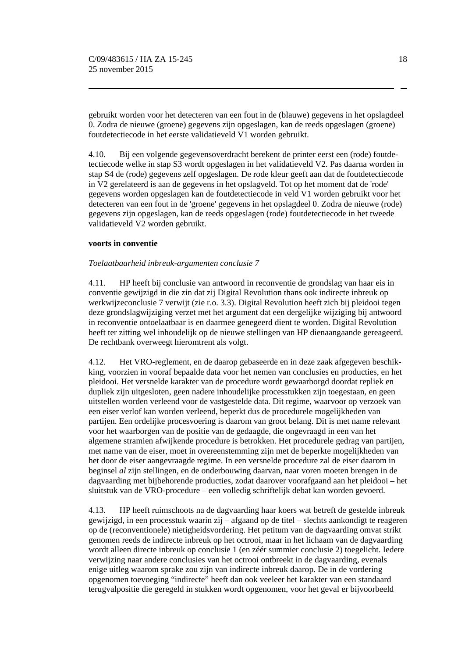gebruikt worden voor het detecteren van een fout in de (blauwe) gegevens in het opslagdeel 0. Zodra de nieuwe (groene) gegevens zijn opgeslagen, kan de reeds opgeslagen (groene) foutdetectiecode in het eerste validatieveld V1 worden gebruikt.

4.10. Bij een volgende gegevensoverdracht berekent de printer eerst een (rode) foutdetectiecode welke in stap S3 wordt opgeslagen in het validatieveld V2. Pas daarna worden in stap S4 de (rode) gegevens zelf opgeslagen. De rode kleur geeft aan dat de foutdetectiecode in V2 gerelateerd is aan de gegevens in het opslagveld. Tot op het moment dat de 'rode' gegevens worden opgeslagen kan de foutdetectiecode in veld V1 worden gebruikt voor het detecteren van een fout in de 'groene' gegevens in het opslagdeel 0. Zodra de nieuwe (rode) gegevens zijn opgeslagen, kan de reeds opgeslagen (rode) foutdetectiecode in het tweede validatieveld V2 worden gebruikt.

#### **voorts in conventie**

#### *Toelaatbaarheid inbreuk-argumenten conclusie 7*

4.11. HP heeft bij conclusie van antwoord in reconventie de grondslag van haar eis in conventie gewijzigd in die zin dat zij Digital Revolution thans ook indirecte inbreuk op werkwijzeconclusie 7 verwijt (zie r.o. 3.3). Digital Revolution heeft zich bij pleidooi tegen deze grondslagwijziging verzet met het argument dat een dergelijke wijziging bij antwoord in reconventie ontoelaatbaar is en daarmee genegeerd dient te worden. Digital Revolution heeft ter zitting wel inhoudelijk op de nieuwe stellingen van HP dienaangaande gereageerd. De rechtbank overweegt hieromtrent als volgt.

4.12. Het VRO-reglement, en de daarop gebaseerde en in deze zaak afgegeven beschikking, voorzien in vooraf bepaalde data voor het nemen van conclusies en producties, en het pleidooi. Het versnelde karakter van de procedure wordt gewaarborgd doordat repliek en dupliek zijn uitgesloten, geen nadere inhoudelijke processtukken zijn toegestaan, en geen uitstellen worden verleend voor de vastgestelde data. Dit regime, waarvoor op verzoek van een eiser verlof kan worden verleend, beperkt dus de procedurele mogelijkheden van partijen. Een ordelijke procesvoering is daarom van groot belang. Dit is met name relevant voor het waarborgen van de positie van de gedaagde, die ongevraagd in een van het algemene stramien afwijkende procedure is betrokken. Het procedurele gedrag van partijen, met name van de eiser, moet in overeenstemming zijn met de beperkte mogelijkheden van het door de eiser aangevraagde regime. In een versnelde procedure zal de eiser daarom in beginsel *al* zijn stellingen, en de onderbouwing daarvan, naar voren moeten brengen in de dagvaarding met bijbehorende producties, zodat daarover voorafgaand aan het pleidooi – het sluitstuk van de VRO-procedure – een volledig schriftelijk debat kan worden gevoerd.

4.13. HP heeft ruimschoots na de dagvaarding haar koers wat betreft de gestelde inbreuk gewijzigd, in een processtuk waarin zij – afgaand op de titel – slechts aankondigt te reageren op de (reconventionele) nietigheidsvordering. Het petitum van de dagvaarding omvat strikt genomen reeds de indirecte inbreuk op het octrooi, maar in het lichaam van de dagvaarding wordt alleen directe inbreuk op conclusie 1 (en zéér summier conclusie 2) toegelicht. Iedere verwijzing naar andere conclusies van het octrooi ontbreekt in de dagvaarding, evenals enige uitleg waarom sprake zou zijn van indirecte inbreuk daarop. De in de vordering opgenomen toevoeging "indirecte" heeft dan ook veeleer het karakter van een standaard terugvalpositie die geregeld in stukken wordt opgenomen, voor het geval er bijvoorbeeld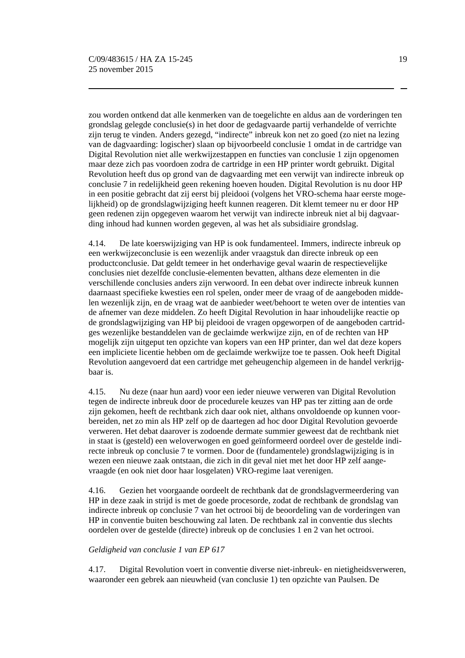zou worden ontkend dat alle kenmerken van de toegelichte en aldus aan de vorderingen ten grondslag gelegde conclusie(s) in het door de gedagvaarde partij verhandelde of verrichte zijn terug te vinden. Anders gezegd, "indirecte" inbreuk kon net zo goed (zo niet na lezing van de dagvaarding: logischer) slaan op bijvoorbeeld conclusie 1 omdat in de cartridge van Digital Revolution niet alle werkwijzestappen en functies van conclusie 1 zijn opgenomen maar deze zich pas voordoen zodra de cartridge in een HP printer wordt gebruikt. Digital Revolution heeft dus op grond van de dagvaarding met een verwijt van indirecte inbreuk op conclusie 7 in redelijkheid geen rekening hoeven houden. Digital Revolution is nu door HP in een positie gebracht dat zij eerst bij pleidooi (volgens het VRO-schema haar eerste mogelijkheid) op de grondslagwijziging heeft kunnen reageren. Dit klemt temeer nu er door HP geen redenen zijn opgegeven waarom het verwijt van indirecte inbreuk niet al bij dagvaarding inhoud had kunnen worden gegeven, al was het als subsidiaire grondslag.

4.14. De late koerswijziging van HP is ook fundamenteel. Immers, indirecte inbreuk op een werkwijzeconclusie is een wezenlijk ander vraagstuk dan directe inbreuk op een productconclusie. Dat geldt temeer in het onderhavige geval waarin de respectievelijke conclusies niet dezelfde conclusie-elementen bevatten, althans deze elementen in die verschillende conclusies anders zijn verwoord. In een debat over indirecte inbreuk kunnen daarnaast specifieke kwesties een rol spelen, onder meer de vraag of de aangeboden middelen wezenlijk zijn, en de vraag wat de aanbieder weet/behoort te weten over de intenties van de afnemer van deze middelen. Zo heeft Digital Revolution in haar inhoudelijke reactie op de grondslagwijziging van HP bij pleidooi de vragen opgeworpen of de aangeboden cartridges wezenlijke bestanddelen van de geclaimde werkwijze zijn, en of de rechten van HP mogelijk zijn uitgeput ten opzichte van kopers van een HP printer, dan wel dat deze kopers een impliciete licentie hebben om de geclaimde werkwijze toe te passen. Ook heeft Digital Revolution aangevoerd dat een cartridge met geheugenchip algemeen in de handel verkrijgbaar is.

4.15. Nu deze (naar hun aard) voor een ieder nieuwe verweren van Digital Revolution tegen de indirecte inbreuk door de procedurele keuzes van HP pas ter zitting aan de orde zijn gekomen, heeft de rechtbank zich daar ook niet, althans onvoldoende op kunnen voorbereiden, net zo min als HP zelf op de daartegen ad hoc door Digital Revolution gevoerde verweren. Het debat daarover is zodoende dermate summier geweest dat de rechtbank niet in staat is (gesteld) een weloverwogen en goed geïnformeerd oordeel over de gestelde indirecte inbreuk op conclusie 7 te vormen. Door de (fundamentele) grondslagwijziging is in wezen een nieuwe zaak ontstaan, die zich in dit geval niet met het door HP zelf aangevraagde (en ook niet door haar losgelaten) VRO-regime laat verenigen.

4.16. Gezien het voorgaande oordeelt de rechtbank dat de grondslagvermeerdering van HP in deze zaak in strijd is met de goede procesorde, zodat de rechtbank de grondslag van indirecte inbreuk op conclusie 7 van het octrooi bij de beoordeling van de vorderingen van HP in conventie buiten beschouwing zal laten. De rechtbank zal in conventie dus slechts oordelen over de gestelde (directe) inbreuk op de conclusies 1 en 2 van het octrooi.

## *Geldigheid van conclusie 1 van EP 617*

4.17. Digital Revolution voert in conventie diverse niet-inbreuk- en nietigheidsverweren, waaronder een gebrek aan nieuwheid (van conclusie 1) ten opzichte van Paulsen. De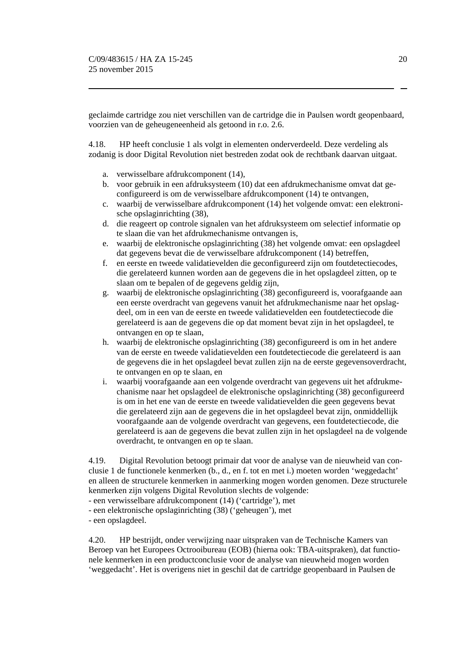geclaimde cartridge zou niet verschillen van de cartridge die in Paulsen wordt geopenbaard, voorzien van de geheugeneenheid als getoond in r.o. 2.6.

4.18. HP heeft conclusie 1 als volgt in elementen onderverdeeld. Deze verdeling als zodanig is door Digital Revolution niet bestreden zodat ook de rechtbank daarvan uitgaat.

- a. verwisselbare afdrukcomponent (14),
- b. voor gebruik in een afdruksysteem (10) dat een afdrukmechanisme omvat dat geconfigureerd is om de verwisselbare afdrukcomponent (14) te ontvangen,
- c. waarbij de verwisselbare afdrukcomponent (14) het volgende omvat: een elektronische opslaginrichting (38),
- d. die reageert op controle signalen van het afdruksysteem om selectief informatie op te slaan die van het afdrukmechanisme ontvangen is,
- e. waarbij de elektronische opslaginrichting (38) het volgende omvat: een opslagdeel dat gegevens bevat die de verwisselbare afdrukcomponent (14) betreffen,
- f. en eerste en tweede validatievelden die geconfigureerd zijn om foutdetectiecodes, die gerelateerd kunnen worden aan de gegevens die in het opslagdeel zitten, op te slaan om te bepalen of de gegevens geldig zijn,
- g. waarbij de elektronische opslaginrichting (38) geconfigureerd is, voorafgaande aan een eerste overdracht van gegevens vanuit het afdrukmechanisme naar het opslagdeel, om in een van de eerste en tweede validatievelden een foutdetectiecode die gerelateerd is aan de gegevens die op dat moment bevat zijn in het opslagdeel, te ontvangen en op te slaan,
- h. waarbij de elektronische opslaginrichting (38) geconfigureerd is om in het andere van de eerste en tweede validatievelden een foutdetectiecode die gerelateerd is aan de gegevens die in het opslagdeel bevat zullen zijn na de eerste gegevensoverdracht, te ontvangen en op te slaan, en
- i. waarbij voorafgaande aan een volgende overdracht van gegevens uit het afdrukmechanisme naar het opslagdeel de elektronische opslaginrichting (38) geconfigureerd is om in het ene van de eerste en tweede validatievelden die geen gegevens bevat die gerelateerd zijn aan de gegevens die in het opslagdeel bevat zijn, onmiddellijk voorafgaande aan de volgende overdracht van gegevens, een foutdetectiecode, die gerelateerd is aan de gegevens die bevat zullen zijn in het opslagdeel na de volgende overdracht, te ontvangen en op te slaan.

4.19. Digital Revolution betoogt primair dat voor de analyse van de nieuwheid van conclusie 1 de functionele kenmerken (b., d., en f. tot en met i.) moeten worden 'weggedacht' en alleen de structurele kenmerken in aanmerking mogen worden genomen. Deze structurele kenmerken zijn volgens Digital Revolution slechts de volgende:

- een verwisselbare afdrukcomponent (14) ('cartridge'), met

- een elektronische opslaginrichting (38) ('geheugen'), met

- een opslagdeel.

4.20. HP bestrijdt, onder verwijzing naar uitspraken van de Technische Kamers van Beroep van het Europees Octrooibureau (EOB) (hierna ook: TBA-uitspraken), dat functionele kenmerken in een productconclusie voor de analyse van nieuwheid mogen worden 'weggedacht'. Het is overigens niet in geschil dat de cartridge geopenbaard in Paulsen de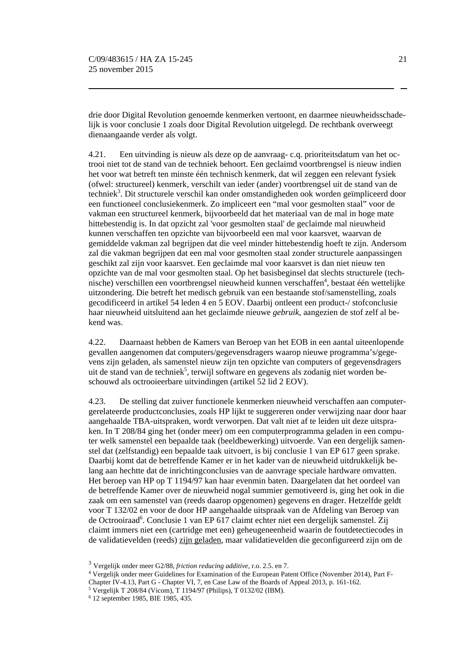drie door Digital Revolution genoemde kenmerken vertoont, en daarmee nieuwheidsschadelijk is voor conclusie 1 zoals door Digital Revolution uitgelegd. De rechtbank overweegt dienaangaande verder als volgt.

4.21. Een uitvinding is nieuw als deze op de aanvraag- c.q. prioriteitsdatum van het octrooi niet tot de stand van de techniek behoort. Een geclaimd voortbrengsel is nieuw indien het voor wat betreft ten minste één technisch kenmerk, dat wil zeggen een relevant fysiek (ofwel: structureel) kenmerk, verschilt van ieder (ander) voortbrengsel uit de stand van de techniek<sup>3</sup>. Dit structurele verschil kan onder omstandigheden ook worden geïmpliceerd door een functioneel conclusiekenmerk. Zo impliceert een "mal voor gesmolten staal" voor de vakman een structureel kenmerk, bijvoorbeeld dat het materiaal van de mal in hoge mate hittebestendig is. In dat opzicht zal 'voor gesmolten staal' de geclaimde mal nieuwheid kunnen verschaffen ten opzichte van bijvoorbeeld een mal voor kaarsvet, waarvan de gemiddelde vakman zal begrijpen dat die veel minder hittebestendig hoeft te zijn. Andersom zal die vakman begrijpen dat een mal voor gesmolten staal zonder structurele aanpassingen geschikt zal zijn voor kaarsvet. Een geclaimde mal voor kaarsvet is dan niet nieuw ten opzichte van de mal voor gesmolten staal. Op het basisbeginsel dat slechts structurele (technische) verschillen een voortbrengsel nieuwheid kunnen verschaffen<sup>4</sup>, bestaat één wettelijke uitzondering. Die betreft het medisch gebruik van een bestaande stof/samenstelling, zoals gecodificeerd in artikel 54 leden 4 en 5 EOV. Daarbij ontleent een product-/ stofconclusie haar nieuwheid uitsluitend aan het geclaimde nieuwe *gebruik*, aangezien de stof zelf al bekend was.

4.22. Daarnaast hebben de Kamers van Beroep van het EOB in een aantal uiteenlopende gevallen aangenomen dat computers/gegevensdragers waarop nieuwe programma's/gegevens zijn geladen, als samenstel nieuw zijn ten opzichte van computers of gegevensdragers uit de stand van de techniek<sup>5</sup>, terwijl software en gegevens als zodanig niet worden beschouwd als octrooieerbare uitvindingen (artikel 52 lid 2 EOV).

4.23. De stelling dat zuiver functionele kenmerken nieuwheid verschaffen aan computergerelateerde productconclusies, zoals HP lijkt te suggereren onder verwijzing naar door haar aangehaalde TBA-uitspraken, wordt verworpen. Dat valt niet af te leiden uit deze uitspraken. In T 208/84 ging het (onder meer) om een computerprogramma geladen in een computer welk samenstel een bepaalde taak (beeldbewerking) uitvoerde. Van een dergelijk samenstel dat (zelfstandig) een bepaalde taak uitvoert, is bij conclusie 1 van EP 617 geen sprake. Daarbij komt dat de betreffende Kamer er in het kader van de nieuwheid uitdrukkelijk belang aan hechtte dat de inrichtingconclusies van de aanvrage speciale hardware omvatten. Het beroep van HP op T 1194/97 kan haar evenmin baten. Daargelaten dat het oordeel van de betreffende Kamer over de nieuwheid nogal summier gemotiveerd is, ging het ook in die zaak om een samenstel van (reeds daarop opgenomen) gegevens en drager. Hetzelfde geldt voor T 132/02 en voor de door HP aangehaalde uitspraak van de Afdeling van Beroep van de Octrooiraad<sup>6</sup>. Conclusie 1 van EP 617 claimt echter niet een dergelijk samenstel. Zij claimt immers niet een (cartridge met een) geheugeneenheid waarin de foutdetectiecodes in de validatievelden (reeds) zijn geladen, maar validatievelden die geconfigureerd zijn om de

<sup>3</sup> Vergelijk onder meer G2/88, *friction reducing additive*, r.o. 2.5. en 7.

<sup>4</sup> Vergelijk onder meer Guidelines for Examination of the European Patent Office (November 2014), Part F-

Chapter IV-4.13, Part G - Chapter VI, 7, en Case Law of the Boards of Appeal 2013, p. 161-162. 5 Vergelijk T 208/84 (Vicom), T 1194/97 (Philips), T 0132/02 (IBM).

<sup>6 12</sup> september 1985, BIE 1985, 435.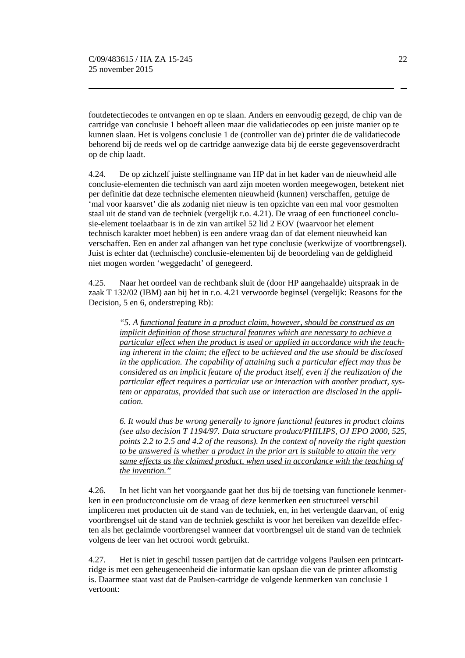foutdetectiecodes te ontvangen en op te slaan. Anders en eenvoudig gezegd, de chip van de cartridge van conclusie 1 behoeft alleen maar die validatiecodes op een juiste manier op te kunnen slaan. Het is volgens conclusie 1 de (controller van de) printer die de validatiecode behorend bij de reeds wel op de cartridge aanwezige data bij de eerste gegevensoverdracht op de chip laadt.

4.24. De op zichzelf juiste stellingname van HP dat in het kader van de nieuwheid alle conclusie-elementen die technisch van aard zijn moeten worden meegewogen, betekent niet per definitie dat deze technische elementen nieuwheid (kunnen) verschaffen, getuige de 'mal voor kaarsvet' die als zodanig niet nieuw is ten opzichte van een mal voor gesmolten staal uit de stand van de techniek (vergelijk r.o. 4.21). De vraag of een functioneel conclusie-element toelaatbaar is in de zin van artikel 52 lid 2 EOV (waarvoor het element technisch karakter moet hebben) is een andere vraag dan of dat element nieuwheid kan verschaffen. Een en ander zal afhangen van het type conclusie (werkwijze of voortbrengsel). Juist is echter dat (technische) conclusie-elementen bij de beoordeling van de geldigheid niet mogen worden 'weggedacht' of genegeerd.

4.25. Naar het oordeel van de rechtbank sluit de (door HP aangehaalde) uitspraak in de zaak T 132/02 (IBM) aan bij het in r.o. 4.21 verwoorde beginsel (vergelijk: Reasons for the Decision, 5 en 6, onderstreping Rb):

*"5. A functional feature in a product claim, however, should be construed as an implicit definition of those structural features which are necessary to achieve a particular effect when the product is used or applied in accordance with the teaching inherent in the claim; the effect to be achieved and the use should be disclosed in the application. The capability of attaining such a particular effect may thus be considered as an implicit feature of the product itself, even if the realization of the particular effect requires a particular use or interaction with another product, system or apparatus, provided that such use or interaction are disclosed in the application.* 

*6. It would thus be wrong generally to ignore functional features in product claims (see also decision T 1194/97. Data structure product/PHILIPS, OJ EPO 2000, 525, points 2.2 to 2.5 and 4.2 of the reasons). In the context of novelty the right question to be answered is whether a product in the prior art is suitable to attain the very same effects as the claimed product, when used in accordance with the teaching of the invention."* 

4.26. In het licht van het voorgaande gaat het dus bij de toetsing van functionele kenmerken in een productconclusie om de vraag of deze kenmerken een structureel verschil impliceren met producten uit de stand van de techniek, en, in het verlengde daarvan, of enig voortbrengsel uit de stand van de techniek geschikt is voor het bereiken van dezelfde effecten als het geclaimde voortbrengsel wanneer dat voortbrengsel uit de stand van de techniek volgens de leer van het octrooi wordt gebruikt.

4.27. Het is niet in geschil tussen partijen dat de cartridge volgens Paulsen een printcartridge is met een geheugeneenheid die informatie kan opslaan die van de printer afkomstig is. Daarmee staat vast dat de Paulsen-cartridge de volgende kenmerken van conclusie 1 vertoont: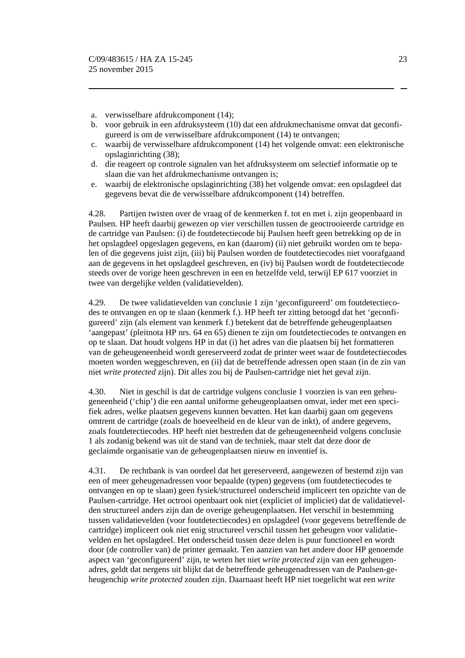- a. verwisselbare afdrukcomponent (14);
- b. voor gebruik in een afdruksysteem (10) dat een afdrukmechanisme omvat dat geconfigureerd is om de verwisselbare afdrukcomponent (14) te ontvangen;
- c. waarbij de verwisselbare afdrukcomponent (14) het volgende omvat: een elektronische opslaginrichting (38);
- d. die reageert op controle signalen van het afdruksysteem om selectief informatie op te slaan die van het afdrukmechanisme ontvangen is;
- e. waarbij de elektronische opslaginrichting (38) het volgende omvat: een opslagdeel dat gegevens bevat die de verwisselbare afdrukcomponent (14) betreffen.

4.28. Partijen twisten over de vraag of de kenmerken f. tot en met i. zijn geopenbaard in Paulsen. HP heeft daarbij gewezen op vier verschillen tussen de geoctrooieerde cartridge en de cartridge van Paulsen: (i) de foutdetectiecode bij Paulsen heeft geen betrekking op de in het opslagdeel opgeslagen gegevens, en kan (daarom) (ii) niet gebruikt worden om te bepalen of die gegevens juist zijn, (iii) bij Paulsen worden de foutdetectiecodes niet voorafgaand aan de gegevens in het opslagdeel geschreven, en (iv) bij Paulsen wordt de foutdetectiecode steeds over de vorige heen geschreven in een en hetzelfde veld, terwijl EP 617 voorziet in twee van dergelijke velden (validatievelden).

4.29. De twee validatievelden van conclusie 1 zijn 'geconfigureerd' om foutdetectiecodes te ontvangen en op te slaan (kenmerk f.). HP heeft ter zitting betoogd dat het 'geconfigureerd' zijn (als element van kenmerk f.) betekent dat de betreffende geheugenplaatsen 'aangepast' (pleitnota HP nrs. 64 en 65) dienen te zijn om foutdetectiecodes te ontvangen en op te slaan. Dat houdt volgens HP in dat (i) het adres van die plaatsen bij het formatteren van de geheugeneenheid wordt gereserveerd zodat de printer weet waar de foutdetectiecodes moeten worden weggeschreven, en (ii) dat de betreffende adressen open staan (in de zin van niet *write protected* zijn). Dit alles zou bij de Paulsen-cartridge niet het geval zijn.

4.30. Niet in geschil is dat de cartridge volgens conclusie 1 voorzien is van een geheugeneenheid ('chip') die een aantal uniforme geheugenplaatsen omvat, ieder met een specifiek adres, welke plaatsen gegevens kunnen bevatten. Het kan daarbij gaan om gegevens omtrent de cartridge (zoals de hoeveelheid en de kleur van de inkt), of andere gegevens, zoals foutdetectiecodes. HP heeft niet bestreden dat de geheugeneenheid volgens conclusie 1 als zodanig bekend was uit de stand van de techniek, maar stelt dat deze door de geclaimde organisatie van de geheugenplaatsen nieuw en inventief is.

4.31. De rechtbank is van oordeel dat het gereserveerd, aangewezen of bestemd zijn van een of meer geheugenadressen voor bepaalde (typen) gegevens (om foutdetectiecodes te ontvangen en op te slaan) geen fysiek/structureel onderscheid impliceert ten opzichte van de Paulsen-cartridge. Het octrooi openbaart ook niet (expliciet of impliciet) dat de validatievelden structureel anders zijn dan de overige geheugenplaatsen. Het verschil in bestemming tussen validatievelden (voor foutdetectiecodes) en opslagdeel (voor gegevens betreffende de cartridge) impliceert ook niet enig structureel verschil tussen het geheugen voor validatievelden en het opslagdeel. Het onderscheid tussen deze delen is puur functioneel en wordt door (de controller van) de printer gemaakt. Ten aanzien van het andere door HP genoemde aspect van 'geconfigureerd' zijn, te weten het niet *write protected* zijn van een geheugenadres, geldt dat nergens uit blijkt dat de betreffende geheugenadressen van de Paulsen-geheugenchip *write protected* zouden zijn. Daarnaast heeft HP niet toegelicht wat een *write*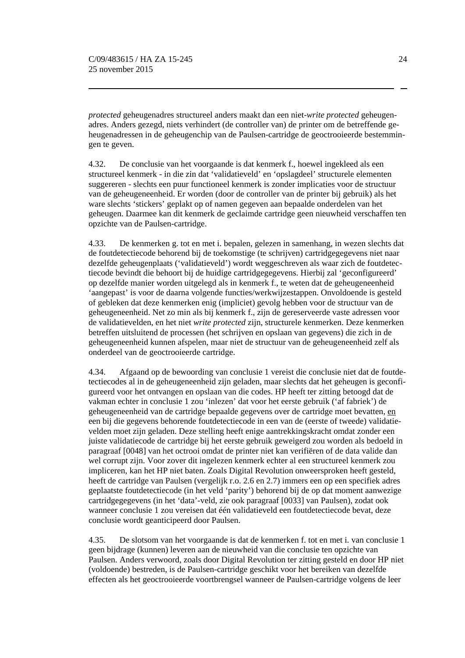*protected* geheugenadres structureel anders maakt dan een niet-*write protected* geheugenadres. Anders gezegd, niets verhindert (de controller van) de printer om de betreffende geheugenadressen in de geheugenchip van de Paulsen-cartridge de geoctrooieerde bestemmingen te geven.

4.32. De conclusie van het voorgaande is dat kenmerk f., hoewel ingekleed als een structureel kenmerk - in die zin dat 'validatieveld' en 'opslagdeel' structurele elementen suggereren - slechts een puur functioneel kenmerk is zonder implicaties voor de structuur van de geheugeneenheid. Er worden (door de controller van de printer bij gebruik) als het ware slechts 'stickers' geplakt op of namen gegeven aan bepaalde onderdelen van het geheugen. Daarmee kan dit kenmerk de geclaimde cartridge geen nieuwheid verschaffen ten opzichte van de Paulsen-cartridge.

4.33. De kenmerken g. tot en met i. bepalen, gelezen in samenhang, in wezen slechts dat de foutdetectiecode behorend bij de toekomstige (te schrijven) cartridgegegevens niet naar dezelfde geheugenplaats ('validatieveld') wordt weggeschreven als waar zich de foutdetectiecode bevindt die behoort bij de huidige cartridgegegevens. Hierbij zal 'geconfigureerd' op dezelfde manier worden uitgelegd als in kenmerk f., te weten dat de geheugeneenheid 'aangepast' is voor de daarna volgende functies/werkwijzestappen. Onvoldoende is gesteld of gebleken dat deze kenmerken enig (impliciet) gevolg hebben voor de structuur van de geheugeneenheid. Net zo min als bij kenmerk f., zijn de gereserveerde vaste adressen voor de validatievelden, en het niet *write protected* zijn, structurele kenmerken. Deze kenmerken betreffen uitsluitend de processen (het schrijven en opslaan van gegevens) die zich in de geheugeneenheid kunnen afspelen, maar niet de structuur van de geheugeneenheid zelf als onderdeel van de geoctrooieerde cartridge.

4.34. Afgaand op de bewoording van conclusie 1 vereist die conclusie niet dat de foutdetectiecodes al in de geheugeneenheid zijn geladen, maar slechts dat het geheugen is geconfigureerd voor het ontvangen en opslaan van die codes. HP heeft ter zitting betoogd dat de vakman echter in conclusie 1 zou 'inlezen' dat voor het eerste gebruik ('af fabriek') de geheugeneenheid van de cartridge bepaalde gegevens over de cartridge moet bevatten, en een bij die gegevens behorende foutdetectiecode in een van de (eerste of tweede) validatievelden moet zijn geladen. Deze stelling heeft enige aantrekkingskracht omdat zonder een juiste validatiecode de cartridge bij het eerste gebruik geweigerd zou worden als bedoeld in paragraaf [0048] van het octrooi omdat de printer niet kan verifiëren of de data valide dan wel corrupt zijn. Voor zover dit ingelezen kenmerk echter al een structureel kenmerk zou impliceren, kan het HP niet baten. Zoals Digital Revolution onweersproken heeft gesteld, heeft de cartridge van Paulsen (vergelijk r.o. 2.6 en 2.7) immers een op een specifiek adres geplaatste foutdetectiecode (in het veld 'parity') behorend bij de op dat moment aanwezige cartridgegegevens (in het 'data'-veld, zie ook paragraaf [0033] van Paulsen), zodat ook wanneer conclusie 1 zou vereisen dat één validatieveld een foutdetectiecode bevat, deze conclusie wordt geanticipeerd door Paulsen.

4.35. De slotsom van het voorgaande is dat de kenmerken f. tot en met i. van conclusie 1 geen bijdrage (kunnen) leveren aan de nieuwheid van die conclusie ten opzichte van Paulsen. Anders verwoord, zoals door Digital Revolution ter zitting gesteld en door HP niet (voldoende) bestreden, is de Paulsen-cartridge geschikt voor het bereiken van dezelfde effecten als het geoctrooieerde voortbrengsel wanneer de Paulsen-cartridge volgens de leer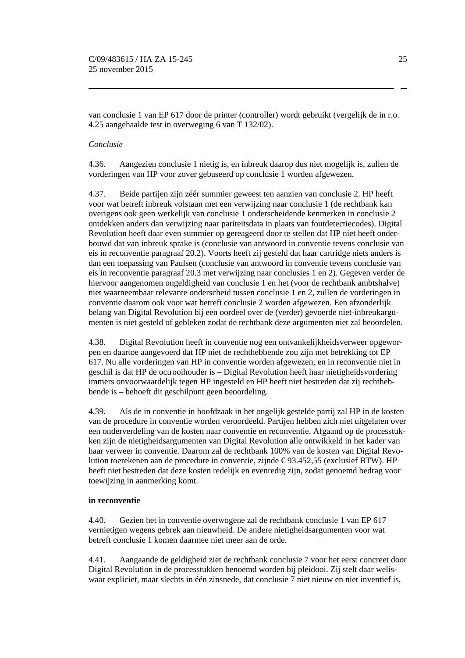van conclusie 1 van EP 617 door de printer (controller) wordt gebruikt (vergelijk de in r.o. 4.25 aangehaalde test in overweging 6 van T 132/02).

#### *Conclusie*

4.36. Aangezien conclusie 1 nietig is, en inbreuk daarop dus niet mogelijk is, zullen de vorderingen van HP voor zover gebaseerd op conclusie 1 worden afgewezen.

4.37. Beide partijen zijn zéér summier geweest ten aanzien van conclusie 2. HP heeft voor wat betreft inbreuk volstaan met een verwijzing naar conclusie 1 (de rechtbank kan overigens ook geen werkelijk van conclusie 1 onderscheidende kenmerken in conclusie 2 ontdekken anders dan verwijzing naar pariteitsdata in plaats van foutdetectiecodes). Digital Revolution heeft daar even summier op gereageerd door te stellen dat HP niet heeft onderbouwd dat van inbreuk sprake is (conclusie van antwoord in conventie tevens conclusie van eis in reconventie paragraaf 20.2). Voorts heeft zij gesteld dat haar cartridge niets anders is dan een toepassing van Paulsen (conclusie van antwoord in conventie tevens conclusie van eis in reconventie paragraaf 20.3 met verwijzing naar conclusies 1 en 2). Gegeven verder de hiervoor aangenomen ongeldigheid van conclusie 1 en het (voor de rechtbank ambtshalve) niet waarneembaar relevante onderscheid tussen conclusie 1 en 2, zullen de vorderingen in conventie daarom ook voor wat betreft conclusie 2 worden afgewezen. Een afzonderlijk belang van Digital Revolution bij een oordeel over de (verder) gevoerde niet-inbreukargumenten is niet gesteld of gebleken zodat de rechtbank deze argumenten niet zal beoordelen.

4.38. Digital Revolution heeft in conventie nog een ontvankelijkheidsverweer opgeworpen en daartoe aangevoerd dat HP niet de rechthebbende zou zijn met betrekking tot EP 617. Nu alle vorderingen van HP in conventie worden afgewezen, en in reconventie niet in geschil is dat HP de octrooihouder is – Digital Revolution heeft haar nietigheidsvordering immers onvoorwaardelijk tegen HP ingesteld en HP heeft niet bestreden dat zij rechthebbende is – behoeft dit geschilpunt geen beoordeling.

4.39. Als de in conventie in hoofdzaak in het ongelijk gestelde partij zal HP in de kosten van de procedure in conventie worden veroordeeld. Partijen hebben zich niet uitgelaten over een onderverdeling van de kosten naar conventie en reconventie. Afgaand op de processtukken zijn de nietigheidsargumenten van Digital Revolution alle ontwikkeld in het kader van haar verweer in conventie. Daarom zal de rechtbank 100% van de kosten van Digital Revolution toerekenen aan de procedure in conventie, zijnde  $\epsilon$ 93.452,55 (exclusief BTW). HP heeft niet bestreden dat deze kosten redelijk en evenredig zijn, zodat genoemd bedrag voor toewijzing in aanmerking komt.

#### **in reconventie**

4.40. Gezien het in conventie overwogene zal de rechtbank conclusie 1 van EP 617 vernietigen wegens gebrek aan nieuwheid. De andere nietigheidsargumenten voor wat betreft conclusie 1 komen daarmee niet meer aan de orde.

4.41. Aangaande de geldigheid ziet de rechtbank conclusie 7 voor het eerst concreet door Digital Revolution in de processtukken benoemd worden bij pleidooi. Zij stelt daar weliswaar expliciet, maar slechts in één zinsnede, dat conclusie 7 niet nieuw en niet inventief is,